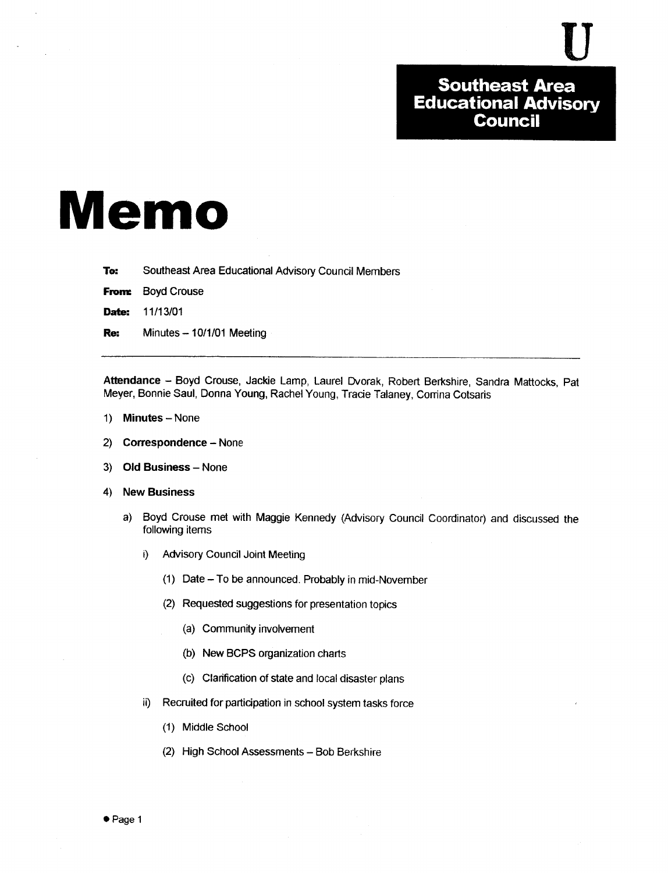# Memo

To: Southeast Area Educational Advisory Council Members

From: **Boyd Crouse** 

Date: 11/13/01

Re: Minutes - 10/1/01 Meeting

Attendance - Boyd Crouse, Jackie Lamp, Laurel Dvorak, Robert Berkshire, Sandra Mattocks, Pat Meyer, Bonnie Saul, Donna Young, Rachel Young, Tracie Talaney, Corrina Cotsaris

- 1) Minutes None
- 2) Correspondence None
- 3) Old Business None
- 4) New Business
	- a) Boyd Crouse met with Maggie Kennedy (Advisory Council Coordinator) and discussed the following items
		- i) Advisory Council Joint Meeting
			- (1) Date To be announced. Probably in mid-November
			- (2) Requested suggestions for presentation topics
				- (a) Community involvement
				- (b) New BCPS organization charts
				- (c) Clarification of state and local disaster plans
		- ii) Recruited for participation in school system tasks force
			- (1) Middle School
			- (2) High School Assessments Bob Berkshire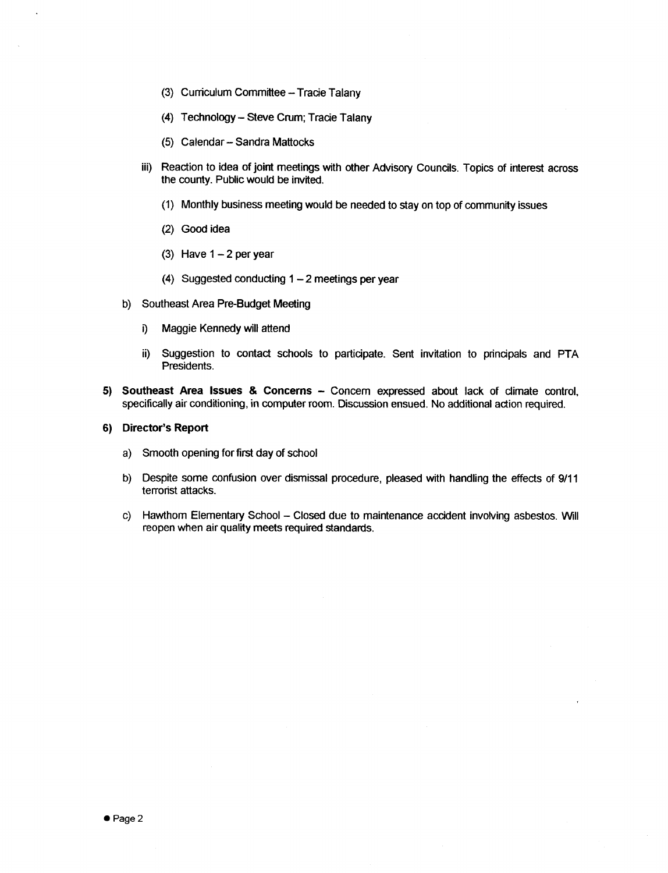- (3) Curriculum Committee Tracie Talany
- (4) Technology Steve Crum; Tracie Talany
- (5) Calendar-Sandra Mattocks
- iii) Reaction to idea of joint meetings with other Advisory Councils. Topics of interest across the county. Public would be invited.
	- (1) Monthly business meeting would be needed to stay on top of community issues
	- (2) Good idea
	- (3) Have  $1 2$  per year
	- (4) Suggested conducting  $1 2$  meetings per year
- b) Southeast Area Pre-Budget Meeting
	- i) Maggie Kennedy will attend
	- ii) Suggestion to contact schools to participate. Sent invitation to principals and PTA Presidents.
- 5) Southeast Area Issues & Concerns Concern expressed about lack of climate control, specifically air conditioning, in computer room. Discussion ensued . No additional action required.

# 6) Director's Report

- a) Smooth opening for first day of school
- b) Despite some confusion over dismissal procedure, pleased with handling the effects of 9/11 terrorist attacks.
- c) Hawthom Elementary School Closed due to maintenance accident involving asbestos. Will reopen when air quality meets required standards.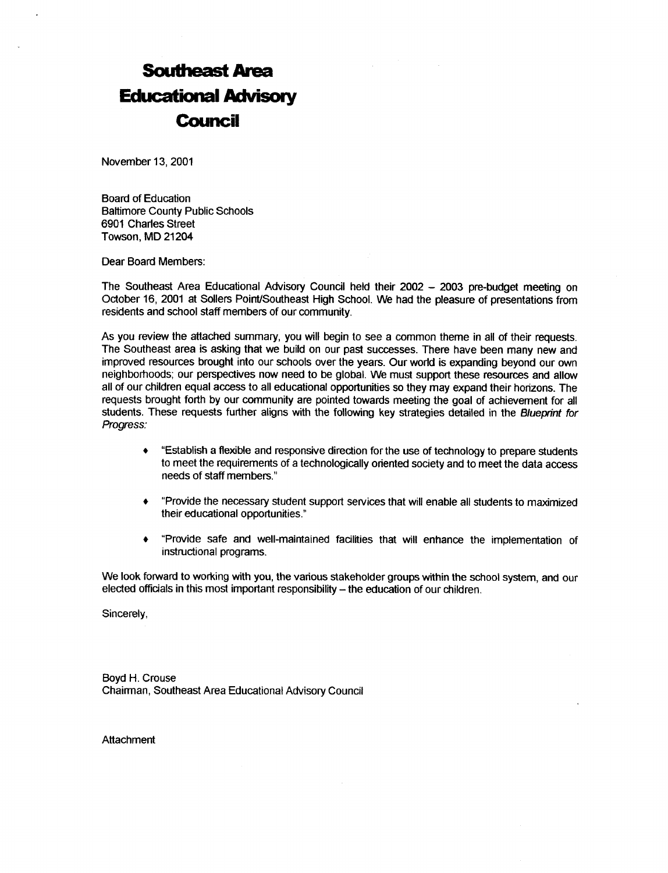# **Southeast Area<br>Educational Advise<br>Council**<br>November 13, 2001 Educational Advisory Council

November 13, 2001

Board of Education Baltimore County Public Schools 6901 Charles Street Towson, MD 21204

Dear Board Members:

The Southeast Area Educational Advisory Council held their 2002 - 2003 pre-budget meeting on October 16, <sup>2001</sup> at Sollers Point/Southeast High School . We had the pleasure of presentations from residents and school staff members of our community.

As you review the attached summary, you will begin to see <sup>a</sup> common theme in all of their requests . The Southeast area is asking that we build on our past successes. There have been many new and improved resources brought into our schools over the years. Our world is expanding beyond our own neighborhoods; our perspectives now need to be global. We must support these resources and allow all of our children equal access to all educational opportunities so they may expand their horizons. The requests brought forth by our community are pointed towards meeting the goal of achievement for all students. These requests further aligns with the following key strategies detailed in the Blueprint for Progress:

- "Establish a flexible and responsive direction for the use of technology to prepare students  $\bullet$ to meet the requirements of a technologically oriented society and to meet the data access needs of staff members."
- "Provide the necessary student support services that will enable all students to maximized  $\bullet$ their educational opportunities ."
- "Provide safe and well-maintained facilities that will enhance the implementation of instructional programs.

We look forward to working with you, the various stakeholder groups within the school system, and our elected officials in this most important responsibility - the education of our children.

Sincerely,

Boyd H. Crouse Chairman, Southeast Area Educational Advisory Council

Attachment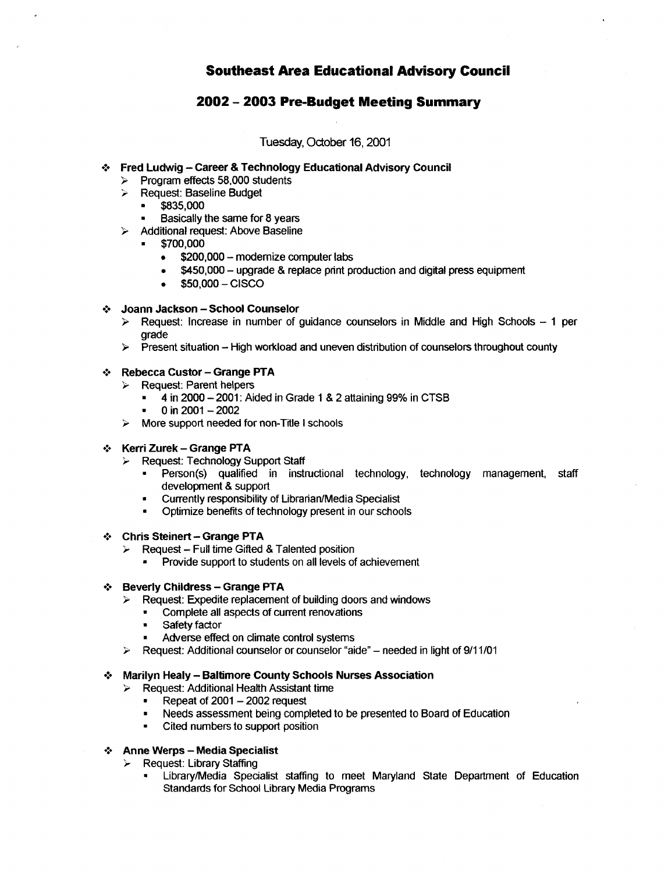Southeast Area Educational Advisory Council

# 2002 - 2003 Pre-Budget Meeting Summary

Tuesday, October 16, 2001

# Fred Ludwig - Career & Technology Educational Advisory Council

- $\triangleright$  Program effects 58,000 students
- **EXECUTE: Baseline Budget** 
	- " \$835,000
- Basically the same for 8 years
- $\triangleright$  Additional request: Above Baseline
	- " \$700,000
		- \$200,000 modernize computer labs  $\bullet$
		- $\bullet$  \$450,000 upgrade & replace print production and digital press equipment<br> $\bullet$  \$50,000 CISCO
		- $$50,000 CISCO$

# Joann Jackson - School Counselor

- $\triangleright$  Request: Increase in number of guidance counselors in Middle and High Schools  $-1$  per grade Arry Solar Street<br>
and Street<br>
Arry Street<br>
Arry Street<br>
Arry Street<br>
Arry Street<br>
Arry Street<br>
Arry Street<br>
Arry Street<br>
Arry Street<br>
Arry Street<br>
Arry Street<br>
Arry Street<br>
Arry Street<br>
Arry Street<br>
Arry Street<br>
Arry Str
	- $\triangleright$  Present situation High workload and uneven distribution of counselors throughout county

# Rebecca Custor - Grange PTA

- Exequest: Parent helpers<br> $\overline{A}$  in 2000 2001: Air
	- 4 in 2000 2001: Aided in Grade 1 & 2 attaining 99% in CTSB
	- 0 in  $2001 2002$
- $\triangleright$  More support needed for non-Title I schools

# Kerri Zurek – Grange PTA<br>
≻ Request: Technology S

- Request: Technology Support Staff
	- Person(s) qualified in instructional technology, technology management, staff development & support
	- " Currently responsibility of Librarian/Media Specialist
	- Optimize benefits of technology present in our schools
- Chris Steinert Grange PTA<br>  $\triangleright$  Request Full time Gifted
- **Example Follow Gifted A**<br>**EXAMPLE Full time Gifted & Talented position**  $\triangleright$  Request Full time Gifted & Talented position
	- Provide support to students on all levels of achievement

### Beverly Childress - Grange PTA  $\mathcal{L}_{\mathcal{P}}$

- Request: Expedite replacement of building doors and windows
- " Complete all aspects of current renovations<br>"Safety factor
	- Safety factor
	- Adverse effect on climate control systems
- Request: Additional counselor or counselor "aide" needed in light of 9/11/01  $\prec$

## Marilyn Healy - Baltimore County Schools Nurses Association<br>> Request: Additional Health Assistant time ❖

- Request: Additional Health Assistant time
- Repeat of  $2001 2002$  request
- Needs assessment being completed to be presented to Board of Education
- Cited numbers to support position

### Anne Werps - Media Specialist<br>> Request: Library Staffing  $\mathcal{L}_{\mathcal{D}}$

- Request: Library Staffing
	- Library/Media Specialist staffing to meet Maryland State Department of Education Standards for School Library Media Programs